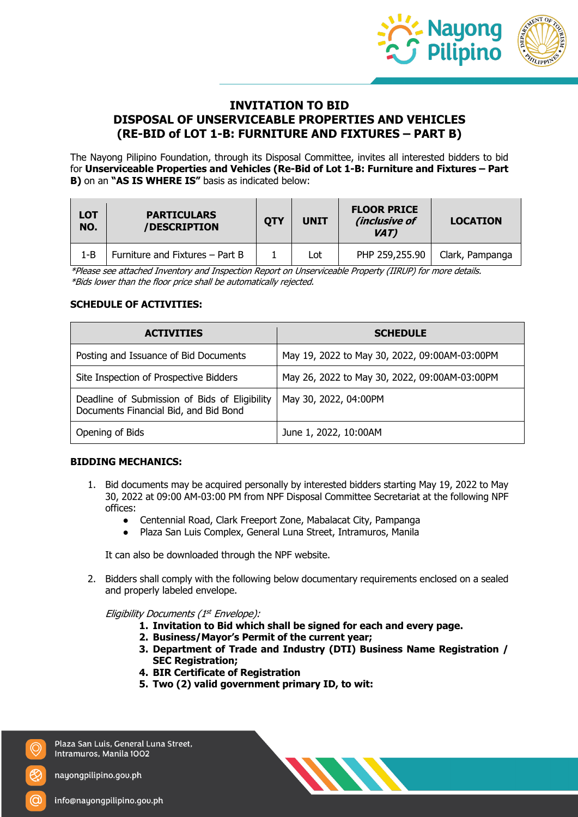

# **INVITATION TO BID DISPOSAL OF UNSERVICEABLE PROPERTIES AND VEHICLES (RE-BID of LOT 1-B: FURNITURE AND FIXTURES – PART B)**

The Nayong Pilipino Foundation, through its Disposal Committee, invites all interested bidders to bid for **Unserviceable Properties and Vehicles (Re-Bid of Lot 1-B: Furniture and Fixtures – Part B)** on an **"AS IS WHERE IS"** basis as indicated below:

| <b>LOT</b><br>NO. | <b>PARTICULARS</b><br>/DESCRIPTION | <b>OTY</b> | <b>UNIT</b> | <b>FLOOR PRICE</b><br>(inclusive of<br>VAT) | <b>LOCATION</b> |
|-------------------|------------------------------------|------------|-------------|---------------------------------------------|-----------------|
| 1-B               | Furniture and Fixtures - Part B    |            | Lot.        | PHP 259,255.90                              | Clark, Pampanga |

\*Please see attached Inventory and Inspection Report on Unserviceable Property (IIRUP) for more details. \*Bids lower than the floor price shall be automatically rejected.

# **SCHEDULE OF ACTIVITIES:**

| <b>ACTIVITIES</b>                                                                      | <b>SCHEDULE</b>                               |  |  |
|----------------------------------------------------------------------------------------|-----------------------------------------------|--|--|
| Posting and Issuance of Bid Documents                                                  | May 19, 2022 to May 30, 2022, 09:00AM-03:00PM |  |  |
| Site Inspection of Prospective Bidders                                                 | May 26, 2022 to May 30, 2022, 09:00AM-03:00PM |  |  |
| Deadline of Submission of Bids of Eligibility<br>Documents Financial Bid, and Bid Bond | May 30, 2022, 04:00PM                         |  |  |
| Opening of Bids                                                                        | June 1, 2022, 10:00AM                         |  |  |

### **BIDDING MECHANICS:**

- 1. Bid documents may be acquired personally by interested bidders starting May 19, 2022 to May 30, 2022 at 09:00 AM-03:00 PM from NPF Disposal Committee Secretariat at the following NPF offices:
	- Centennial Road, Clark Freeport Zone, Mabalacat City, Pampanga
	- Plaza San Luis Complex, General Luna Street, Intramuros, Manila

It can also be downloaded through the NPF website.

2. Bidders shall comply with the following below documentary requirements enclosed on a sealed and properly labeled envelope.

Eligibility Documents (1<sup>st</sup> Envelope):

- **1. Invitation to Bid which shall be signed for each and every page.**
- **2. Business/Mayor's Permit of the current year;**
- **3. Department of Trade and Industry (DTI) Business Name Registration / SEC Registration;**
- **4. BIR Certificate of Registration**
- **5. Two (2) valid government primary ID, to wit:**

Plaza San Luis, General Luna Street, Intramuros, Manila 1002

nayongpilipino.gov.ph

O)

info@nayongpilipino.gov.ph

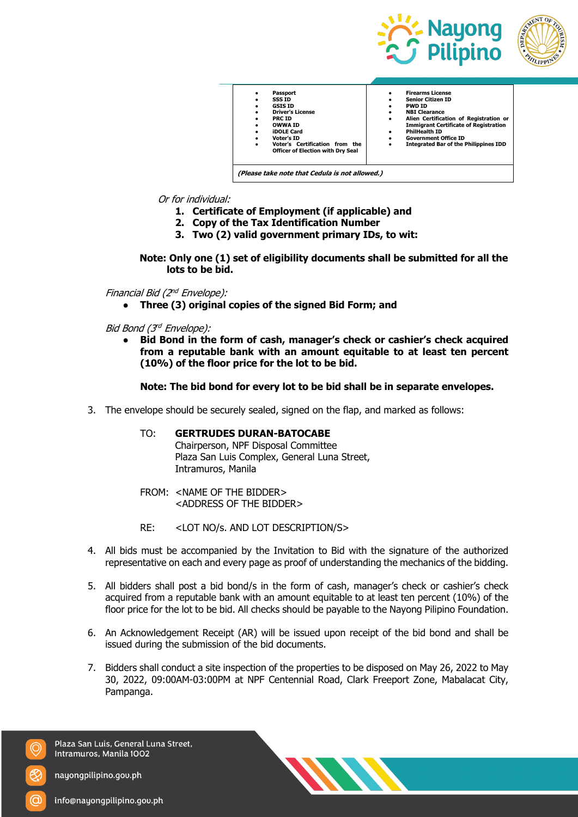





### Or for individual:

- **1. Certificate of Employment (if applicable) and**
- **2. Copy of the Tax Identification Number**
- **3. Two (2) valid government primary IDs, to wit:**

**Note: Only one (1) set of eligibility documents shall be submitted for all the lots to be bid.**

### Financial Bid (2nd Envelope):

**● Three (3) original copies of the signed Bid Form; and**

Bid Bond (3rd Envelope):

**● Bid Bond in the form of cash, manager's check or cashier's check acquired from a reputable bank with an amount equitable to at least ten percent (10%) of the floor price for the lot to be bid.**

#### **Note: The bid bond for every lot to be bid shall be in separate envelopes.**

3. The envelope should be securely sealed, signed on the flap, and marked as follows:

#### TO: **GERTRUDES DURAN-BATOCABE**

Chairperson, NPF Disposal Committee Plaza San Luis Complex, General Luna Street, Intramuros, Manila

- FROM: <NAME OF THE BIDDER> <ADDRESS OF THE BIDDER>
- RE: <LOT NO/s. AND LOT DESCRIPTION/S>
- 4. All bids must be accompanied by the Invitation to Bid with the signature of the authorized representative on each and every page as proof of understanding the mechanics of the bidding.
- 5. All bidders shall post a bid bond/s in the form of cash, manager's check or cashier's check acquired from a reputable bank with an amount equitable to at least ten percent (10%) of the floor price for the lot to be bid. All checks should be payable to the Nayong Pilipino Foundation.
- 6. An Acknowledgement Receipt (AR) will be issued upon receipt of the bid bond and shall be issued during the submission of the bid documents.
- 7. Bidders shall conduct a site inspection of the properties to be disposed on May 26, 2022 to May 30, 2022, 09:00AM-03:00PM at NPF Centennial Road, Clark Freeport Zone, Mabalacat City, Pampanga.

Plaza San Luis, General Luna Street, Intramuros, Manila 1002



nayongpilipino.gov.ph

O)

info@nayongpilipino.gov.ph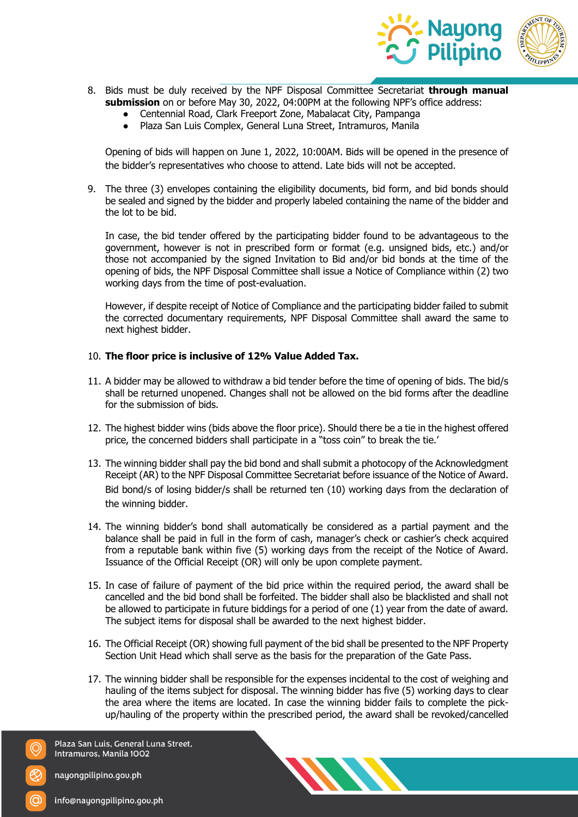

- 8. Bids must be duly received by the NPF Disposal Committee Secretariat **through manual submission** on or before May 30, 2022, 04:00PM at the following NPF's office address:
	- Centennial Road, Clark Freeport Zone, Mabalacat City, Pampanga
	- Plaza San Luis Complex, General Luna Street, Intramuros, Manila

Opening of bids will happen on June 1, 2022, 10:00AM. Bids will be opened in the presence of the bidder's representatives who choose to attend. Late bids will not be accepted.

9. The three (3) envelopes containing the eligibility documents, bid form, and bid bonds should be sealed and signed by the bidder and properly labeled containing the name of the bidder and the lot to be bid.

In case, the bid tender offered by the participating bidder found to be advantageous to the government, however is not in prescribed form or format (e.g. unsigned bids, etc.) and/or those not accompanied by the signed Invitation to Bid and/or bid bonds at the time of the opening of bids, the NPF Disposal Committee shall issue a Notice of Compliance within (2) two working days from the time of post-evaluation.

However, if despite receipt of Notice of Compliance and the participating bidder failed to submit the corrected documentary requirements, NPF Disposal Committee shall award the same to next highest bidder.

# 10. **The floor price is inclusive of 12% Value Added Tax.**

- 11. A bidder may be allowed to withdraw a bid tender before the time of opening of bids. The bid/s shall be returned unopened. Changes shall not be allowed on the bid forms after the deadline for the submission of bids.
- 12. The highest bidder wins (bids above the floor price). Should there be a tie in the highest offered price, the concerned bidders shall participate in a "toss coin" to break the tie.'
- 13. The winning bidder shall pay the bid bond and shall submit a photocopy of the Acknowledgment Receipt (AR) to the NPF Disposal Committee Secretariat before issuance of the Notice of Award. Bid bond/s of losing bidder/s shall be returned ten (10) working days from the declaration of the winning bidder.
- 14. The winning bidder's bond shall automatically be considered as a partial payment and the balance shall be paid in full in the form of cash, manager's check or cashier's check acquired from a reputable bank within five (5) working days from the receipt of the Notice of Award. Issuance of the Official Receipt (OR) will only be upon complete payment.
- 15. In case of failure of payment of the bid price within the required period, the award shall be cancelled and the bid bond shall be forfeited. The bidder shall also be blacklisted and shall not be allowed to participate in future biddings for a period of one (1) year from the date of award. The subject items for disposal shall be awarded to the next highest bidder.
- 16. The Official Receipt (OR) showing full payment of the bid shall be presented to the NPF Property Section Unit Head which shall serve as the basis for the preparation of the Gate Pass.
- 17. The winning bidder shall be responsible for the expenses incidental to the cost of weighing and hauling of the items subject for disposal. The winning bidder has five (5) working days to clear the area where the items are located. In case the winning bidder fails to complete the pickup/hauling of the property within the prescribed period, the award shall be revoked/cancelled

Plaza San Luis, General Luna Street, Intramuros, Manila 1002

nayongpilipino.gov.ph

O)



info@nayongpilipino.gov.ph